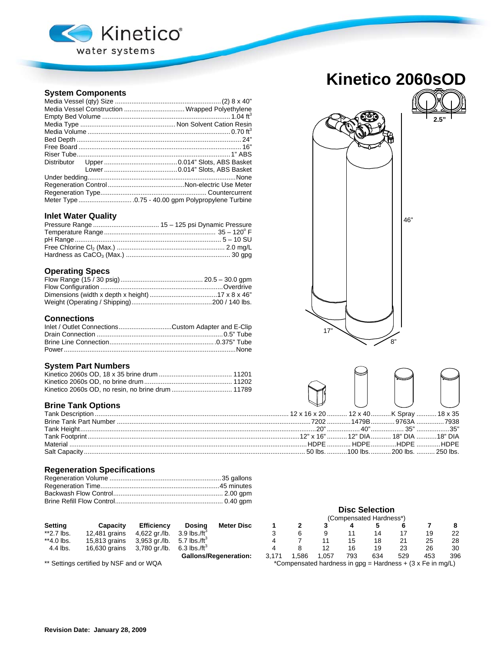

## **System Components**

| Media Vessel Construction  Wrapped Polyethylene |
|-------------------------------------------------|
|                                                 |
|                                                 |
|                                                 |
|                                                 |
|                                                 |
|                                                 |
|                                                 |
|                                                 |
|                                                 |
|                                                 |
|                                                 |
|                                                 |

### **Inlet Water Quality**

## **Operating Specs**

## **Connections**

| Inlet / Outlet ConnectionsCustom Adapter and E-Clip |  |
|-----------------------------------------------------|--|
|                                                     |  |
|                                                     |  |
|                                                     |  |

### **System Part Numbers**

## **Brine Tank Options**

## **Regeneration Specifications**

|                | , ounivuluus i kidiloov |                   |                            |                   |      |         |          |     |                      |         |               |                      |
|----------------|-------------------------|-------------------|----------------------------|-------------------|------|---------|----------|-----|----------------------|---------|---------------|----------------------|
| <b>Setting</b> | Capacity                | <b>Efficiency</b> | Dosina                     | <b>Meter Disc</b> |      |         |          |     |                      |         |               |                      |
| **2.7 lbs.     | 12.481 grains           | 4,622 gr./lb.     | 3.9 lbs./ft $^{\circ}$     |                   |      |         |          |     |                      |         | 19            | 22                   |
| **4.0 lbs.     | 15,813 grains           | 3,953 gr./lb.     | 5.7 lbs./ft $^{\circ}$     |                   |      |         |          |     | 18                   |         | 25            | 28                   |
| 4.4 lbs.       | 16,630 grains           | 3,780 gr./lb.     | $6.3$ lbs./ft <sup>3</sup> |                   |      |         |          | 16  | 19                   |         | 26            | 30                   |
|                |                         |                   | - -                        |                   | $-1$ | $- - -$ | $\sim -$ | --- | $\sim$ $\sim$ $\sim$ | $- - -$ | $\sim$ $\sim$ | $\sim$ $\sim$ $\sim$ |

## **Kinetico 2060sOD**



46" 8" 17"

|  | 2 x 16 x 20  12 x 40 K Spray  18 x 35 |  |
|--|---------------------------------------|--|
|  | 7202 1479B  9763A 7938                |  |
|  |                                       |  |
|  | 12" x 16"  12" DIA… 18" DIA …18" DIA  |  |
|  |                                       |  |
|  | 50 lbs. 100 lbs.  200 lbs.  250 lbs.  |  |
|  |                                       |  |

## **Disc Selection**  (Compensated Hardness\*)<br>3  $4$  5 6 3 6 9 11 14 17 19 22 4 7 11 15 18 21 25 28 4 8 12 16 19 23 26 30

Gallons/Regeneration: 3,171 1,586 1,057 793 634 529 453 396<br>Compensated hardness in gpg = Hardness + (3 x Fe in mg/L) \*Compensated hardness in gpg = Hardness + (3 x Fe in mg/L)